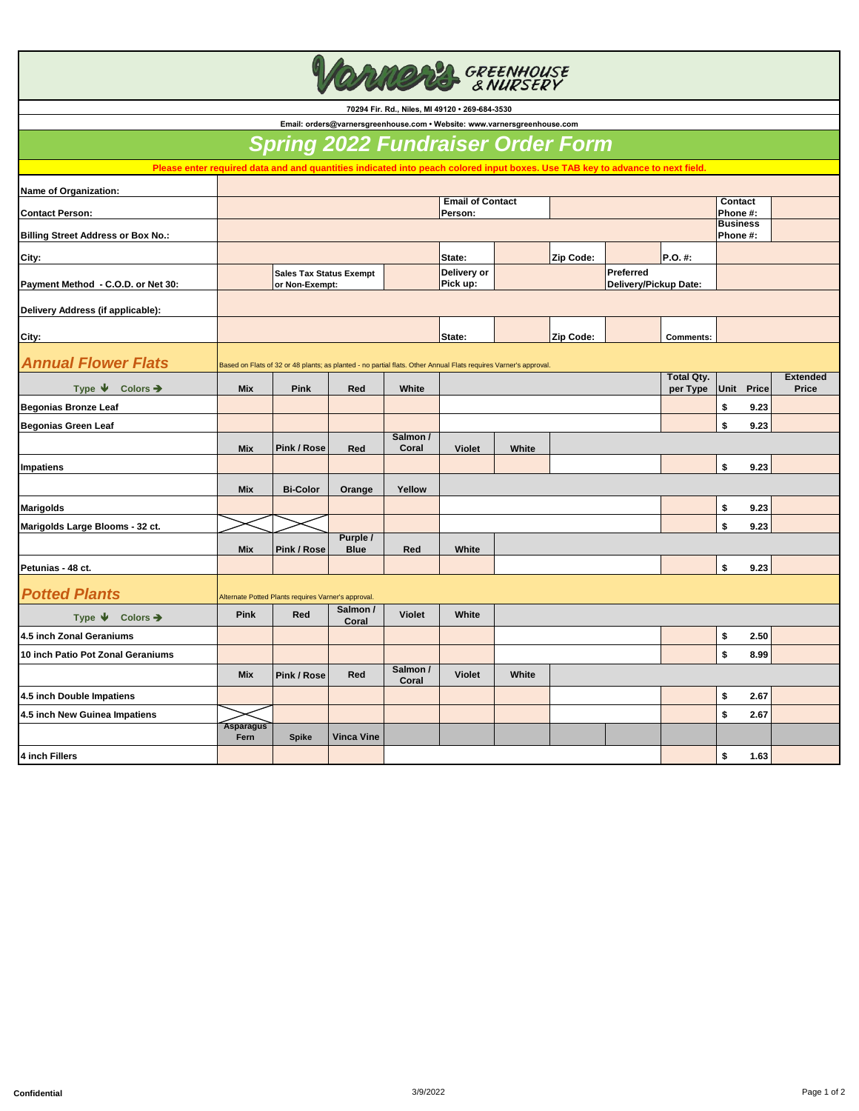**CONS GREENHOUSE** 

**70294 Fir. Rd., Niles, MI 49120 • 269-684-3530** 

**Name of Organization: Contact Person: Contact Phone #: Billing Street Address or Box No.: Business Phone #: City: State: Zip Code: P.O. #: Payment Method - C.O.D. or Net 30: Delivery or Pick up: Delivery Address (if applicable): City: State: Zip Code: Comments:** *Annual Flower Flats* **Type Colors** ➔ **Mix Pink Red White Total Qty. per Type Unit Price Extended Price Begonias Bronze Leaf \$ 9.23 Begonias Green Leaf \$ 9.23 Mix Pink / Rose Red Salmon / Coral Violet White Impatiens \$ 9.23 Mix Bi-Color Orange Yellow Marigolds \$ 9.23 Marigolds Large Blooms - 32 ct. \$ 9.23 Mix Pink / Rose Purple / Blue Red White Petunias - 48 ct. \$ 9.23**  *Potted Plants* **Type ↓** Colors → **Pink** Red **Salmon / Coral Coral Violet White 4.5 inch Zonal Geraniums \$ 2.50 10 inch Patio Pot Zonal Geraniums \$ 8.99 Mix Pink / Rose Red Salmon / Coral Violet White 4.5 inch Double Impatiens \$ 2.67 4.5 inch New Guinea Impatiens \$ 2.67 Asparagus Fern Spike Vinca Vine 4 inch Fillers \$ 1.63**   *Spring 2022 Fundraiser Order Form* **Email: orders@varnersgreenhouse.com • Website: www.varnersgreenhouse.com Email of Contact Person:**  Based on Flats of 32 or 48 plants; as planted - no partial flats. Other Annual Flats requires Varner's approval. Alternate Potted Plants requires Varner's approval. **Please enter required data and and quantities indicated into peach colored input boxes. Use TAB key to advance to next field. Sales Tax Status Exempt or Non-Exempt: Preferred Delivery/Pickup Date:**